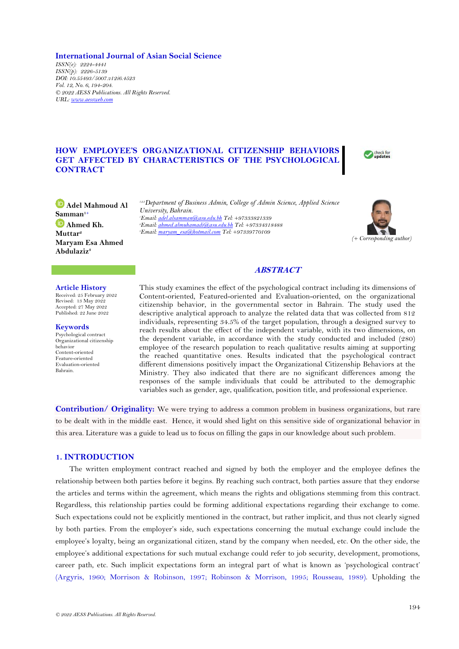## **International Journal of Asian Social Science**

*ISSN(e): 2224-4441 ISSN(p): 2226-5139 DOI: 10.55493/5007.v12i6.4523 Vol. 12, No. 6, 194-204. © 2022 AESS Publications. All Rights Reserved. URL[: www.aessweb.com](http://www.aessweb.com/)*

# **HOW EMPLOYEE'S ORGANIZATIONAL CITIZENSHIP BEHAVIORS GET AFFECTED BY CHARACTERISTICS OF THE PSYCHOLOGICAL CONTRACT**



**Adel Mahmoud Al Samman1+ D** Ahmed Kh. **Muttar<sup>2</sup> Maryam Esa Ahmed Abdulaziz<sup>3</sup>**

*1,2,3Department of Business Admin, College of Admin Science, Applied Science University, Bahrain. <sup>1</sup>Email[: adel.alsamman@asu.edu.bh](mailto:adel.alsamman@asu.edu.bh) Tel: +97333821339 <sup>2</sup>Email[: ahmed.almuhamadi@asu.edu.bh](mailto:ahmed.almuhamadi@asu.edu.bh) Tel: +97334318488 <sup>3</sup>Email[: maryam\\_esa@hotmail.com](mailto:maryam_esa@hotmail.com) Tel: +97339770109*



# **ABSTRACT**

#### **Article History**

Received: 25 February 2022 Revised: 13 May 2022 Accepted: 27 May 2022 Published: 22 June 2022

**Keywords** Psychological contract Organizational citizenship behavior Content-oriented Feature-oriented Evaluation-oriented Bahrain.

This study examines the effect of the psychological contract including its dimensions of Content-oriented, Featured-oriented and Evaluation-oriented, on the organizational citizenship behavior, in the governmental sector in Bahrain. The study used the descriptive analytical approach to analyze the related data that was collected from 812 individuals, representing 34.5% of the target population, through a designed survey to reach results about the effect of the independent variable, with its two dimensions, on the dependent variable, in accordance with the study conducted and included (280) employee of the research population to reach qualitative results aiming at supporting the reached quantitative ones. Results indicated that the psychological contract different dimensions positively impact the Organizational Citizenship Behaviors at the Ministry. They also indicated that there are no significant differences among the responses of the sample individuals that could be attributed to the demographic variables such as gender, age, qualification, position title, and professional experience.

**Contribution/ Originality:** We were trying to address a common problem in business organizations, but rare to be dealt with in the middle east. Hence, it would shed light on this sensitive side of organizational behavior in this area. Literature was a guide to lead us to focus on filling the gaps in our knowledge about such problem.

# **1. INTRODUCTION**

The written employment contract reached and signed by both the employer and the employee defines the relationship between both parties before it begins. By reaching such contract, both parties assure that they endorse the articles and terms within the agreement, which means the rights and obligations stemming from this contract. Regardless, this relationship parties could be forming additional expectations regarding their exchange to come. Such expectations could not be explicitly mentioned in the contract, but rather implicit, and thus not clearly signed by both parties. From the employer's side, such expectations concerning the mutual exchange could include the employee's loyalty, being an organizational citizen, stand by the company when needed, etc. On the other side, the employee's additional expectations for such mutual exchange could refer to job security, development, promotions, career path, etc. Such implicit expectations form an integral part of what is known as 'psychological contract' [\(Argyris, 1960;](#page-8-0) [Morrison & Robinson, 1997;](#page-9-0) [Robinson & Morrison, 1995;](#page-10-0) [Rousseau, 1989\)](#page-10-1). Upholding the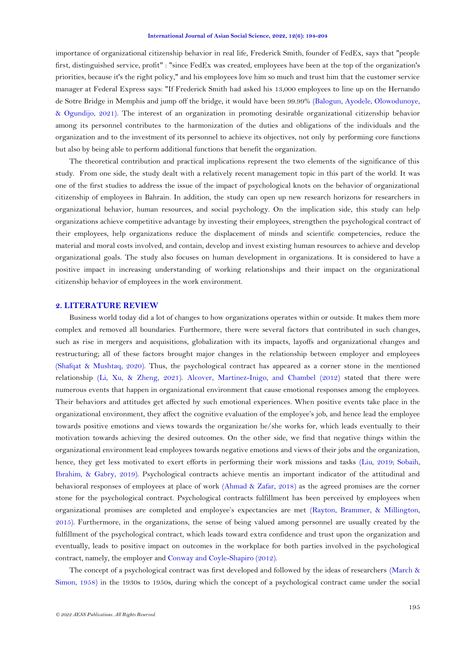importance of organizational citizenship behavior in real life, Frederick Smith, founder of FedEx, says that "people first, distinguished service, profit" : "since FedEx was created, employees have been at the top of the organization's priorities, because it's the right policy," and his employees love him so much and trust him that the customer service manager at Federal Express says: "If Frederick Smith had asked his 13,000 employees to line up on the Hernando de Sotre Bridge in Memphis and jump off the bridge, it would have been 99.99% [\(Balogun, Ayodele, Olowodunoye,](#page-8-1)  [& Ogundijo, 2021\)](#page-8-1). The interest of an organization in promoting desirable organizational citizenship behavior among its personnel contributes to the harmonization of the duties and obligations of the individuals and the organization and to the investment of its personnel to achieve its objectives, not only by performing core functions but also by being able to perform additional functions that benefit the organization.

The theoretical contribution and practical implications represent the two elements of the significance of this study. From one side, the study dealt with a relatively recent management topic in this part of the world. It was one of the first studies to address the issue of the impact of psychological knots on the behavior of organizational citizenship of employees in Bahrain. In addition, the study can open up new research horizons for researchers in organizational behavior, human resources, and social psychology. On the implication side, this study can help organizations achieve competitive advantage by investing their employees, strengthen the psychological contract of their employees, help organizations reduce the displacement of minds and scientific competencies, reduce the material and moral costs involved, and contain, develop and invest existing human resources to achieve and develop organizational goals. The study also focuses on human development in organizations. It is considered to have a positive impact in increasing understanding of working relationships and their impact on the organizational citizenship behavior of employees in the work environment.

## **2. LITERATURE REVIEW**

Business world today did a lot of changes to how organizations operates within or outside. It makes them more complex and removed all boundaries. Furthermore, there were several factors that contributed in such changes, such as rise in mergers and acquisitions, globalization with its impacts, layoffs and organizational changes and restructuring; all of these factors brought major changes in the relationship between employer and employees [\(Shafqat & Mushtaq, 2020\)](#page-10-2). Thus, the psychological contract has appeared as a corner stone in the mentioned relationship [\(Li, Xu, & Zheng, 2021\)](#page-9-1). [Alcover, Martinez-Inigo, and Chambel \(2012\)](#page-8-2) stated that there were numerous events that happen in organizational environment that cause emotional responses among the employees. Their behaviors and attitudes get affected by such emotional experiences. When positive events take place in the organizational environment, they affect the cognitive evaluation of the employee's job, and hence lead the employee towards positive emotions and views towards the organization he/she works for, which leads eventually to their motivation towards achieving the desired outcomes. On the other side, we find that negative things within the organizational environment lead employees towards negative emotions and views of their jobs and the organization, hence, they get less motivated to exert efforts in performing their work missions and tasks (Liu, [2019;](#page-9-2) [Sobaih,](#page-10-3) [Ibrahim, & Gabry, 2019\)](#page-10-3). Psychological contracts achieve mentis an important indicator of the attitudinal and behavioral responses of employees at place of work [\(Ahmad & Zafar, 2018\)](#page-8-3) as the agreed promises are the corner stone for the psychological contract. Psychological contracts fulfillment has been perceived by employees when organizational promises are completed and employee's expectancies are met [\(Rayton, Brammer, & Millington,](#page-10-4)  [2015\)](#page-10-4). Furthermore, in the organizations, the sense of being valued among personnel are usually created by the fulfillment of the psychological contract, which leads toward extra confidence and trust upon the organization and eventually, leads to positive impact on outcomes in the workplace for both parties involved in the psychological contract, namely, the employer and [Conway and Coyle-Shapiro \(2012\)](#page-9-3).

The concept of a psychological contract was first developed and followed by the ideas of researchers [\(March &](#page-9-4)  [Simon, 1958\)](#page-9-4) in the 1930s to 1950s, during which the concept of a psychological contract came under the social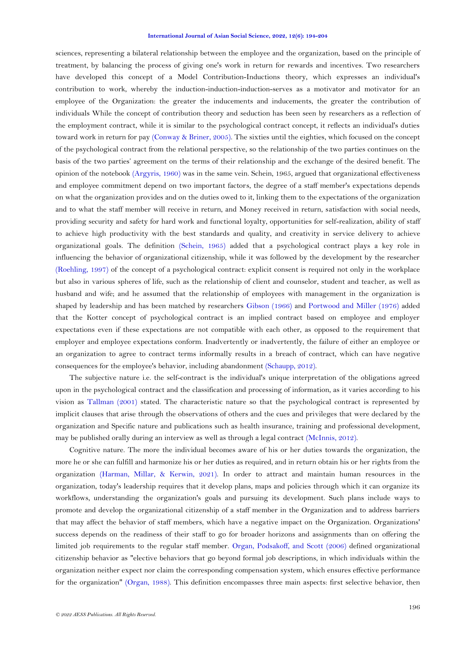sciences, representing a bilateral relationship between the employee and the organization, based on the principle of treatment, by balancing the process of giving one's work in return for rewards and incentives. Two researchers have developed this concept of a Model Contribution-Inductions theory, which expresses an individual's contribution to work, whereby the induction-induction-induction-serves as a motivator and motivator for an employee of the Organization: the greater the inducements and inducements, the greater the contribution of individuals While the concept of contribution theory and seduction has been seen by researchers as a reflection of the employment contract, while it is similar to the psychological contract concept, it reflects an individual's duties toward work in return for pay [\(Conway & Briner, 2005\)](#page-9-5). The sixties until the eighties, which focused on the concept of the psychological contract from the relational perspective, so the relationship of the two parties continues on the basis of the two parties' agreement on the terms of their relationship and the exchange of the desired benefit. The opinion of the notebook [\(Argyris, 1960\)](#page-8-0) was in the same vein. Schein, 1965, argued that organizational effectiveness and employee commitment depend on two important factors, the degree of a staff member's expectations depends on what the organization provides and on the duties owed to it, linking them to the expectations of the organization and to what the staff member will receive in return, and Money received in return, satisfaction with social needs, providing security and safety for hard work and functional loyalty, opportunities for self-realization, ability of staff to achieve high productivity with the best standards and quality, and creativity in service delivery to achieve organizational goals. The definition [\(Schein, 1965\)](#page-10-5) added that a psychological contract plays a key role in influencing the behavior of organizational citizenship, while it was followed by the development by the researcher [\(Roehling, 1997\)](#page-10-6) of the concept of a psychological contract: explicit consent is required not only in the workplace but also in various spheres of life, such as the relationship of client and counselor, student and teacher, as well as husband and wife; and he assumed that the relationship of employees with management in the organization is shaped by leadership and has been matched by researchers [Gibson \(1966\)](#page-9-6) and [Portwood and Miller \(1976\)](#page-10-7) added that the Kotter concept of psychological contract is an implied contract based on employee and employer expectations even if these expectations are not compatible with each other, as opposed to the requirement that employer and employee expectations conform. Inadvertently or inadvertently, the failure of either an employee or an organization to agree to contract terms informally results in a breach of contract, which can have negative consequences for the employee's behavior, including abandonment [\(Schaupp, 2012\)](#page-10-8).

The subjective nature i.e. the self-contract is the individual's unique interpretation of the obligations agreed upon in the psychological contract and the classification and processing of information, as it varies according to his vision as [Tallman \(2001\)](#page-10-9) stated. The characteristic nature so that the psychological contract is represented by implicit clauses that arise through the observations of others and the cues and privileges that were declared by the organization and Specific nature and publications such as health insurance, training and professional development, may be published orally during an interview as well as through a legal contract [\(McInnis, 2012\)](#page-9-7).

Cognitive nature. The more the individual becomes aware of his or her duties towards the organization, the more he or she can fulfill and harmonize his or her duties as required, and in return obtain his or her rights from the organization (Harman, Millar, [& Kerwin, 2021\)](#page-9-8). In order to attract and maintain human resources in the organization, today's leadership requires that it develop plans, maps and policies through which it can organize its workflows, understanding the organization's goals and pursuing its development. Such plans include ways to promote and develop the organizational citizenship of a staff member in the Organization and to address barriers that may affect the behavior of staff members, which have a negative impact on the Organization. Organizations' success depends on the readiness of their staff to go for broader horizons and assignments than on offering the limited job requirements to the regular staff member. [Organ, Podsakoff, and Scott \(2006\)](#page-10-10) defined organizational citizenship behavior as "elective behaviors that go beyond formal job descriptions, in which individuals within the organization neither expect nor claim the corresponding compensation system, which ensures effective performance for the organization" [\(Organ, 1988\)](#page-9-9). This definition encompasses three main aspects: first selective behavior, then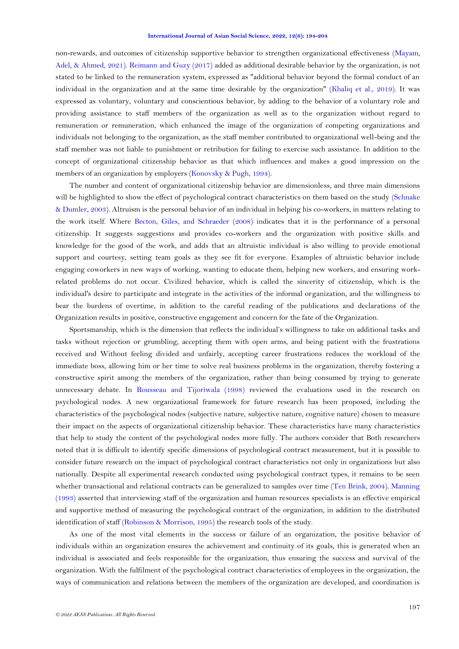non-rewards, and outcomes of citizenship supportive behavior to strengthen organizational effectiveness [\(Mayam,](#page-9-10)  [Adel, & Ahmed, 2021\)](#page-9-10). [Reimann and Guzy \(2017\)](#page-10-11) added as additional desirable behavior by the organization, is not stated to be linked to the remuneration system, expressed as "additional behavior beyond the formal conduct of an individual in the organization and at the same time desirable by the organization" [\(Khaliq et al., 2019\)](#page-9-11). It was expressed as voluntary, voluntary and conscientious behavior, by adding to the behavior of a voluntary role and providing assistance to staff members of the organization as well as to the organization without regard to remuneration or remuneration, which enhanced the image of the organization of competing organizations and individuals not belonging to the organization, as the staff member contributed to organizational well-being and the staff member was not liable to punishment or retribution for failing to exercise such assistance. In addition to the concept of organizational citizenship behavior as that which influences and makes a good impression on the members of an organization by employers [\(Konovsky &](#page-9-12) Pugh, 1994).

The number and content of organizational citizenship behavior are dimensionless, and three main dimensions will be highlighted to show the effect of psychological contract characteristics on them based on the study (Schnake [& Dumler, 2003\)](#page-10-12). Altruism is the personal behavior of an individual in helping his co-workers, in matters relating to the work itself. Where [Becton, Giles, and Schraeder \(2008\)](#page-8-4) indicates that it is the performance of a personal citizenship. It suggests suggestions and provides co-workers and the organization with positive skills and knowledge for the good of the work, and adds that an altruistic individual is also willing to provide emotional support and courtesy, setting team goals as they see fit for everyone. Examples of altruistic behavior include engaging coworkers in new ways of working, wanting to educate them, helping new workers, and ensuring workrelated problems do not occur. Civilized behavior, which is called the sincerity of citizenship, which is the individual's desire to participate and integrate in the activities of the informal organization, and the willingness to bear the burdens of overtime, in addition to the careful reading of the publications and declarations of the Organization results in positive, constructive engagement and concern for the fate of the Organization.

Sportsmanship, which is the dimension that reflects the individual's willingness to take on additional tasks and tasks without rejection or grumbling, accepting them with open arms, and being patient with the frustrations received and Without feeling divided and unfairly, accepting career frustrations reduces the workload of the immediate boss, allowing him or her time to solve real business problems in the organization, thereby fostering a constructive spirit among the members of the organization, rather than being consumed by trying to generate unnecessary debate. In [Rousseau and Tijoriwala \(1998\)](#page-10-13) reviewed the evaluations used in the research on psychological nodes. A new organizational framework for future research has been proposed, including the characteristics of the psychological nodes (subjective nature, subjective nature, cognitive nature) chosen to measure their impact on the aspects of organizational citizenship behavior. These characteristics have many characteristics that help to study the content of the psychological nodes more fully. The authors consider that Both researchers noted that it is difficult to identify specific dimensions of psychological contract measurement, but it is possible to consider future research on the impact of psychological contract characteristics not only in organizations but also nationally. Despite all experimental research conducted using psychological contract types, it remains to be seen whether transactional and relational contracts can be generalized to samples over time [\(Ten Brink, 2004\)](#page-10-14). [Manning](#page-9-13)  [\(1993\)](#page-9-13) asserted that interviewing staff of the organization and human resources specialists is an effective empirical and supportive method of measuring the psychological contract of the organization, in addition to the distributed identification of staff [\(Robinson & Morrison, 1995\)](#page-10-0) the research tools of the study.

As one of the most vital elements in the success or failure of an organization, the positive behavior of individuals within an organization ensures the achievement and continuity of its goals, this is generated when an individual is associated and feels responsible for the organization, thus ensuring the success and survival of the organization. With the fulfilment of the psychological contract characteristics of employees in the organization, the ways of communication and relations between the members of the organization are developed, and coordination is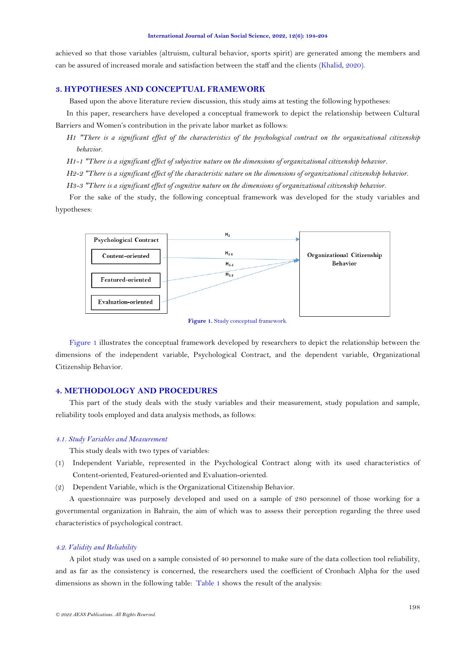achieved so that those variables (altruism, cultural behavior, sports spirit) are generated among the members and can be assured of increased morale and satisfaction between the staff and the clients [\(Khalid, 2020\)](#page-9-14).

# **3. HYPOTHESES AND CONCEPTUAL FRAMEWORK**

Based upon the above literature review discussion, this study aims at testing the following hypotheses:

In this paper, researchers have developed a conceptual framework to depict the relationship between Cultural Barriers and Women's contribution in the private labor market as follows:

*H1 "There is a significant effect of the characteristics of the psychological contract on the organizational citizenship behavior.*

*H1-1 "There is a significant effect of subjective nature on the dimensions of organizational citizenship behavior.*

*H2-2 "There is a significant effect of the characteristic nature on the dimensions of organizational citizenship behavior.*

*H3-3 "There is a significant effect of cognitive nature on the dimensions of organizational citizenship behavior.*

For the sake of the study, the following conceptual framework was developed for the study variables and hypotheses:



**Figure 1.** Study conceptual framework.

<span id="page-4-0"></span>[Figure 1](#page-4-0) illustrates the conceptual framework developed by researchers to depict the relationship between the dimensions of the independent variable, Psychological Contract, and the dependent variable, Organizational Citizenship Behavior.

# **4. METHODOLOGY AND PROCEDURES**

This part of the study deals with the study variables and their measurement, study population and sample, reliability tools employed and data analysis methods, as follows:

### *4.1. Study Variables and Measurement*

This study deals with two types of variables:

(1) Independent Variable, represented in the Psychological Contract along with its used characteristics of Content-oriented, Featured-oriented and Evaluation-oriented.

(2) Dependent Variable, which is the Organizational Citizenship Behavior.

A questionnaire was purposely developed and used on a sample of 280 personnel of those working for a governmental organization in Bahrain, the aim of which was to assess their perception regarding the three used characteristics of psychological contract.

## *4.2. Validity and Reliability*

A pilot study was used on a sample consisted of 40 personnel to make sure of the data collection tool reliability, and as far as the consistency is concerned, the researchers used the coefficient of Cronbach Alpha for the used dimensions as shown in the following table: [Table 1](#page-5-0) shows the result of the analysis: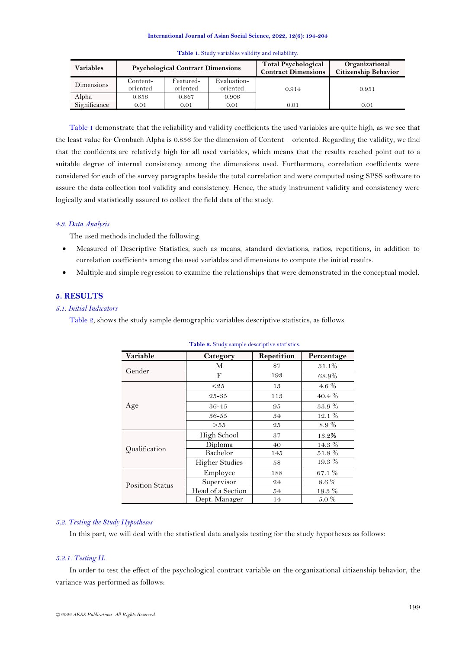<span id="page-5-0"></span>

| Variables    |                      | <b>Psychological Contract Dimensions</b> |                         | <b>Total Psychological</b><br><b>Contract Dimensions</b> | Organizational<br><b>Citizenship Behavior</b> |  |
|--------------|----------------------|------------------------------------------|-------------------------|----------------------------------------------------------|-----------------------------------------------|--|
| Dimensions   | Content-<br>oriented | Featured-<br>oriented                    | Evaluation-<br>oriented | 0.914                                                    | 0.951                                         |  |
| Alpha        | 0.856                | 0.867                                    | 0.906                   |                                                          |                                               |  |
| Significance | 0.01                 | 0.01                                     | 0.01                    | 0.01                                                     | 0.01                                          |  |

|  | Table 1. Study variables validity and reliability. |  |  |  |
|--|----------------------------------------------------|--|--|--|
|  |                                                    |  |  |  |

[Table 1](#page-5-0) demonstrate that the reliability and validity coefficients the used variables are quite high, as we see that the least value for Cronbach Alpha is 0.856 for the dimension of Content – oriented. Regarding the validity, we find that the confidents are relatively high for all used variables, which means that the results reached point out to a suitable degree of internal consistency among the dimensions used. Furthermore, correlation coefficients were considered for each of the survey paragraphs beside the total correlation and were computed using SPSS software to assure the data collection tool validity and consistency. Hence, the study instrument validity and consistency were logically and statistically assured to collect the field data of the study.

# *4.3. Data Analysis*

The used methods included the following:

- Measured of Descriptive Statistics, such as means, standard deviations, ratios, repetitions, in addition to correlation coefficients among the used variables and dimensions to compute the initial results.
- Multiple and simple regression to examine the relationships that were demonstrated in the conceptual model.

# **5. RESULTS**

# *5.1. Initial Indicators*

<span id="page-5-1"></span>[Table 2,](#page-5-1) shows the study sample demographic variables descriptive statistics, as follows:

| <b>Table 2.</b> Drug y sample about purce statistics. |                       |                                                                                        |            |  |  |  |  |  |
|-------------------------------------------------------|-----------------------|----------------------------------------------------------------------------------------|------------|--|--|--|--|--|
| Variable                                              | Category              | Repetition                                                                             | Percentage |  |  |  |  |  |
|                                                       | М                     | 87                                                                                     | 31.1%      |  |  |  |  |  |
| Gender                                                | F                     | 193<br>13<br>113<br>95<br>34<br>25<br>37<br>40<br>145<br>58<br>188<br>8.6%<br>24<br>54 | 68.9%      |  |  |  |  |  |
|                                                       | $\leq 2.5$            |                                                                                        | 4.6 $%$    |  |  |  |  |  |
|                                                       | $25 - 35$             |                                                                                        | $40.4\%$   |  |  |  |  |  |
| Age                                                   | 36-45                 |                                                                                        | $33.9\ \%$ |  |  |  |  |  |
|                                                       | $36 - 55$             |                                                                                        | 12.1%      |  |  |  |  |  |
|                                                       | > 55                  |                                                                                        | 8.9%       |  |  |  |  |  |
|                                                       | High School           |                                                                                        | 13.2%      |  |  |  |  |  |
|                                                       | Diploma               |                                                                                        | 14.3 %     |  |  |  |  |  |
| Qualification                                         | Bachelor              |                                                                                        | 51.8%      |  |  |  |  |  |
|                                                       | <b>Higher Studies</b> |                                                                                        | $19.3\%$   |  |  |  |  |  |
|                                                       | Employee              |                                                                                        | 67.1 %     |  |  |  |  |  |
| <b>Position Status</b>                                | Supervisor            |                                                                                        |            |  |  |  |  |  |
|                                                       | Head of a Section     |                                                                                        | $19.3~\%$  |  |  |  |  |  |
|                                                       | Dept. Manager         | 14                                                                                     | $5.0\%$    |  |  |  |  |  |

Table 9. Study sample descriptive statistics.

# *5.2. Testing the Study Hypotheses*

In this part, we will deal with the statistical data analysis testing for the study hypotheses as follows:

# *5.2.1. Testing H<sup>1</sup>*

In order to test the effect of the psychological contract variable on the organizational citizenship behavior, the variance was performed as follows: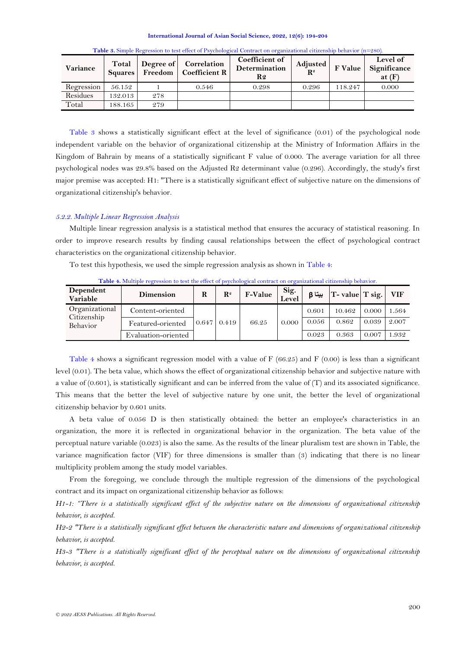<span id="page-6-0"></span>

| Variance   | Total<br><b>Squares</b> | Degree of | Correlation<br>Freedom   Coefficient R | <b>Coefficient of</b><br><b>Determination</b><br>R2 | Adjusted<br>$\mathbf{R}^2$ | F Value | Level of<br>Significance<br>at $(F)$ |
|------------|-------------------------|-----------|----------------------------------------|-----------------------------------------------------|----------------------------|---------|--------------------------------------|
| Regression | 56.152                  |           | 0.546                                  | 0.298                                               | 0.296                      | 118.247 | 0.000                                |
| Residues   | 132.013                 | 278       |                                        |                                                     |                            |         |                                      |
| Total      | 188.165                 | 279       |                                        |                                                     |                            |         |                                      |

**Table 3.** Simple Regression to test effect of Psychological Contract on organizational citizenship behavior (n=280).

[Table 3](#page-6-0) shows a statistically significant effect at the level of significance (0.01) of the psychological node independent variable on the behavior of organizational citizenship at the Ministry of Information Affairs in the Kingdom of Bahrain by means of a statistically significant F value of 0.000. The average variation for all three psychological nodes was 29.8% based on the Adjusted R2 determinant value (0.296). Accordingly, the study's first major premise was accepted: H1: "There is a statistically significant effect of subjective nature on the dimensions of organizational citizenship's behavior.

# *5.2.2. Multiple Linear Regression Analysis*

Multiple linear regression analysis is a statistical method that ensures the accuracy of statistical reasoning. In order to improve research results by finding causal relationships between the effect of psychological contract characteristics on the organizational citizenship behavior.

To test this hypothesis, we used the simple regression analysis as shown in [Table 4:](#page-6-1)

<span id="page-6-1"></span>

| Dependent<br>Variable                     | <b>Dimension</b>    | R | $\mathbf{R}^2$     | <b>F-Value</b> | Sig.<br>Level | بيتا B | $T$ - value $T$ sig. |       | – VIF |
|-------------------------------------------|---------------------|---|--------------------|----------------|---------------|--------|----------------------|-------|-------|
| Organizational<br>Citizenship<br>Behavior | Content-oriented    |   | $0.647 \mid 0.419$ | 66.25          | 0.000         | 0.601  | 10.462               | 0.000 | 1.564 |
|                                           | Featured-oriented   |   |                    |                |               | 0.056  | 0.862                | 0.039 | 2.007 |
|                                           | Evaluation-oriented |   |                    |                |               | 0.023  | 0.363                | 0.007 | 1.932 |

**Table 4.** Multiple regression to test the effect of psychological contract on organizational citizenship behavior.

[Table 4](#page-6-1) shows a significant regression model with a value of F (66.25) and F (0.00) is less than a significant level (0.01). The beta value, which shows the effect of organizational citizenship behavior and subjective nature with a value of (0.601), is statistically significant and can be inferred from the value of (T) and its associated significance. This means that the better the level of subjective nature by one unit, the better the level of organizational citizenship behavior by 0.601 units.

A beta value of 0.056 D is then statistically obtained: the better an employee's characteristics in an organization, the more it is reflected in organizational behavior in the organization. The beta value of the perceptual nature variable (0.023) is also the same. As the results of the linear pluralism test are shown in Table, the variance magnification factor (VIF) for three dimensions is smaller than (3) indicating that there is no linear multiplicity problem among the study model variables.

From the foregoing, we conclude through the multiple regression of the dimensions of the psychological contract and its impact on organizational citizenship behavior as follows:

*H1-1: "There is a statistically significant effect of the subjective nature on the dimensions of organizational citizenship behavior, is accepted.*

*H2-2 "There is a statistically significant effect between the characteristic nature and dimensions of organizational citizenship behavior, is accepted.*

*H3-3 "There is a statistically significant effect of the perceptual nature on the dimensions of organizational citizenship behavior, is accepted.*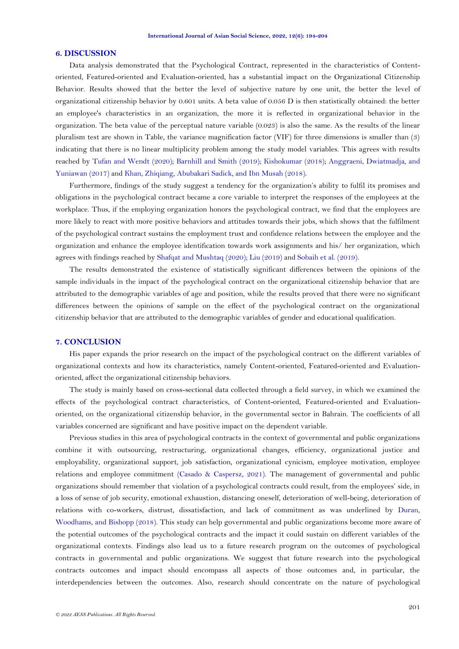### **6. DISCUSSION**

Data analysis demonstrated that the Psychological Contract, represented in the characteristics of Contentoriented, Featured-oriented and Evaluation-oriented, has a substantial impact on the Organizational Citizenship Behavior. Results showed that the better the level of subjective nature by one unit, the better the level of organizational citizenship behavior by 0.601 units. A beta value of 0.056 D is then statistically obtained: the better an employee's characteristics in an organization, the more it is reflected in organizational behavior in the organization. The beta value of the perceptual nature variable (0.023) is also the same. As the results of the linear pluralism test are shown in Table, the variance magnification factor (VIF) for three dimensions is smaller than (3) indicating that there is no linear multiplicity problem among the study model variables. This agrees with results reached by [Tufan and Wendt \(2020\)](#page-10-15); [Barnhill and Smith \(2019\)](#page-8-5); [Kishokumar \(2018\)](#page-9-15); [Anggraeni, Dwiatmadja, and](#page-8-6)  [Yuniawan \(2017\)](#page-8-6) an[d Khan, Zhiqiang, Abubakari Sadick, and Ibn Musah \(2018\)](#page-9-16).

Furthermore, findings of the study suggest a tendency for the organization's ability to fulfil its promises and obligations in the psychological contract became a core variable to interpret the responses of the employees at the workplace. Thus, if the employing organization honors the psychological contract, we find that the employees are more likely to react with more positive behaviors and attitudes towards their jobs, which shows that the fulfilment of the psychological contract sustains the employment trust and confidence relations between the employee and the organization and enhance the employee identification towards work assignments and his/ her organization, which agrees with findings reached b[y Shafqat and Mushtaq \(2020\)](#page-10-2); [Liu \(2019\)](#page-9-2) and [Sobaih et al. \(2019\)](#page-10-3).

The results demonstrated the existence of statistically significant differences between the opinions of the sample individuals in the impact of the psychological contract on the organizational citizenship behavior that are attributed to the demographic variables of age and position, while the results proved that there were no significant differences between the opinions of sample on the effect of the psychological contract on the organizational citizenship behavior that are attributed to the demographic variables of gender and educational qualification.

## **7. CONCLUSION**

His paper expands the prior research on the impact of the psychological contract on the different variables of organizational contexts and how its characteristics, namely Content-oriented, Featured-oriented and Evaluationoriented, affect the organizational citizenship behaviors.

The study is mainly based on cross-sectional data collected through a field survey, in which we examined the effects of the psychological contract characteristics, of Content-oriented, Featured-oriented and Evaluationoriented, on the organizational citizenship behavior, in the governmental sector in Bahrain. The coefficients of all variables concerned are significant and have positive impact on the dependent variable.

Previous studies in this area of psychological contracts in the context of governmental and public organizations combine it with outsourcing, restructuring, organizational changes, efficiency, organizational justice and employability, organizational support, job satisfaction, organizational cynicism, employee motivation, employee relations and employee commitment [\(Casado & Caspersz, 2021\)](#page-9-17). The management of governmental and public organizations should remember that violation of a psychological contracts could result, from the employees' side, in a loss of sense of job security, emotional exhaustion, distancing oneself, deterioration of well-being, deterioration of relations with co-workers, distrust, dissatisfaction, and lack of commitment as was underlined by [Duran,](#page-9-18)  [Woodhams, and Bishopp \(2018\)](#page-9-18). This study can help governmental and public organizations become more aware of the potential outcomes of the psychological contracts and the impact it could sustain on different variables of the organizational contexts. Findings also lead us to a future research program on the outcomes of psychological contracts in governmental and public organizations. We suggest that future research into the psychological contracts outcomes and impact should encompass all aspects of those outcomes and, in particular, the interdependencies between the outcomes. Also, research should concentrate on the nature of psychological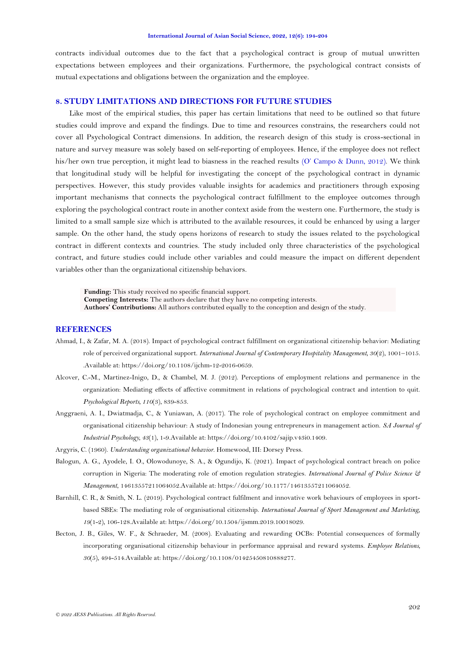contracts individual outcomes due to the fact that a psychological contract is group of mutual unwritten expectations between employees and their organizations. Furthermore, the psychological contract consists of mutual expectations and obligations between the organization and the employee.

## **8. STUDY LIMITATIONS AND DIRECTIONS FOR FUTURE STUDIES**

Like most of the empirical studies, this paper has certain limitations that need to be outlined so that future studies could improve and expand the findings. Due to time and resources constrains, the researchers could not cover all Psychological Contract dimensions. In addition, the research design of this study is cross-sectional in nature and survey measure was solely based on self-reporting of employees. Hence, if the employee does not reflect his/her own true perception, it might lead to biasness in the reached results ([O' Campo & Dunn, 2012](#page-9-19)). We think that longitudinal study will be helpful for investigating the concept of the psychological contract in dynamic perspectives. However, this study provides valuable insights for academics and practitioners through exposing important mechanisms that connects the psychological contract fulfillment to the employee outcomes through exploring the psychological contract route in another context aside from the western one. Furthermore, the study is limited to a small sample size which is attributed to the available resources, it could be enhanced by using a larger sample. On the other hand, the study opens horizons of research to study the issues related to the psychological contract in different contexts and countries. The study included only three characteristics of the psychological contract, and future studies could include other variables and could measure the impact on different dependent variables other than the organizational citizenship behaviors.

**Funding:** This study received no specific financial support. **Competing Interests:** The authors declare that they have no competing interests. **Authors' Contributions:** All authors contributed equally to the conception and design of the study.

# **REFERENCES**

- <span id="page-8-3"></span>Ahmad, I., & Zafar, M. A. (2018). Impact of psychological contract fulfillment on organizational citizenship behavior: Mediating role of perceived organizational support. *International Journal of Contemporary Hospitality Management, 30*(2), 1001–1015. .Available at: https://doi.org/10.1108/ijchm-12-2016-0659.
- <span id="page-8-2"></span>Alcover, C.-M., Martinez-Inigo, D., & Chambel, M. J. (2012). Perceptions of employment relations and permanence in the organization: Mediating effects of affective commitment in relations of psychological contract and intention to quit. *Psychological Reports, 110*(3), 839-853.
- <span id="page-8-6"></span>Anggraeni, A. I., Dwiatmadja, C., & Yuniawan, A. (2017). The role of psychological contract on employee commitment and organisational citizenship behaviour: A study of Indonesian young entrepreneurs in management action. *SA Journal of Industrial Psychology, 43*(1), 1-9.Available at: https://doi.org/10.4102/sajip.v43i0.1409.
- <span id="page-8-0"></span>Argyris, C. (1960). *Understanding organizational behavior*. Homewood, III: Dorsey Press.
- <span id="page-8-1"></span>Balogun, A. G., Ayodele, I. O., Olowodunoye, S. A., & Ogundijo, K. (2021). Impact of psychological contract breach on police corruption in Nigeria: The moderating role of emotion regulation strategies. *International Journal of Police Science & Management*, 14613557211064052.Available at: https://doi.org/10.1177/14613557211064052.
- <span id="page-8-5"></span>Barnhill, C. R., & Smith, N. L. (2019). Psychological contract fulfilment and innovative work behaviours of employees in sportbased SBEs: The mediating role of organisational citizenship. *International Journal of Sport Management and Marketing, 19*(1-2), 106-128.Available at: https://doi.org/10.1504/ijsmm.2019.10018029.
- <span id="page-8-4"></span>Becton, J. B., Giles, W. F., & Schraeder, M. (2008). Evaluating and rewarding OCBs: Potential consequences of formally incorporating organisational citizenship behaviour in performance appraisal and reward systems. *Employee Relations, 30*(5), 494-514.Available at: https://doi.org/10.1108/01425450810888277.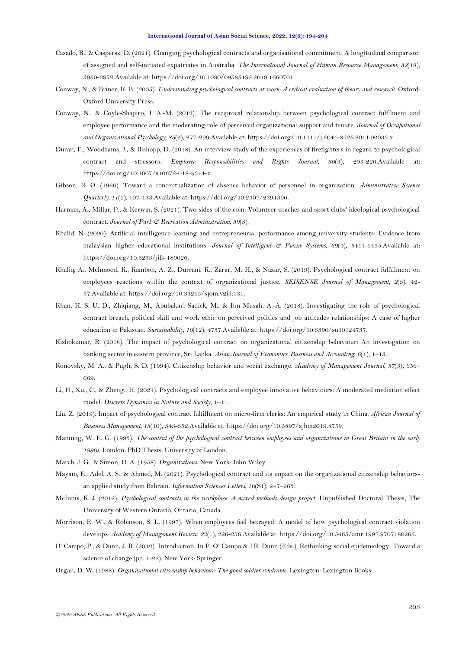- <span id="page-9-17"></span>Casado, R., & Caspersz, D. (2021). Changing psychological contracts and organisational commitment: A longitudinal comparison of assigned and self-initiated expatriates in Australia. *The International Journal of Human Resource Management, 32*(18), 3950-3972.Available at: https://doi.org/10.1080/09585192.2019.1660701.
- <span id="page-9-5"></span>Conway, N., & Briner, R. B. (2005). *Understanding psychological contracts at work: A critical evaluation of theory and research*. Oxford: Oxford University Press.
- <span id="page-9-3"></span>Conway, N., & Coyle-Shapiro, J. A.-M. (2012). The reciprocal relationship between psychological contract fulfilment and employee performance and the moderating role of perceived organizational support and tenure. *Journal of Occupational and Organizational Psychology, 85*(2), 277-299.Available at: https://doi.org/10.1111/j.2044-8325.2011.02033.x.
- <span id="page-9-18"></span>Duran, F., Woodhams, J., & Bishopp, D. (2018). An interview study of the experiences of firefighters in regard to psychological contract and stressors. *Employee Responsibilities and Rights Journal, 30*(3), 203-226.Available at: https://doi.org/10.1007/s10672-018-9314-z.
- <span id="page-9-6"></span>Gibson, R. O. (1966). Toward a conceptualization of absence behavior of personnel in organization. *Administrative Science Quarterly, 11*(1), 107-133.Available at: https://doi.org/10.2307/2391396.
- <span id="page-9-8"></span>Harman, A., Millar, P., & Kerwin, S. (2021). Two sides of the coin: Volunteer coaches and sport clubs' ideological psychological contract. *Journal of Park & Recreation Administration, 39*(3).
- <span id="page-9-14"></span>Khalid, N. (2020). Artificial intelligence learning and entrepreneurial performance among university students: Evidence from malaysian higher educational institutions. *Journal of Intelligent & Fuzzy Systems, 39*(4), 5417-5435.Available at: https://doi.org/10.3233/jifs-189026.
- <span id="page-9-11"></span>Khaliq, A., Mehmood, K., Kamboh, A. Z., Durrani, K., Zarar, M. H., & Nazar, S. (2019). Psychological contract fulfillment on employees reactions within the context of organizational justice. *SEISENSE Journal of Management, 2*(3), 42- 57.Available at: https://doi.org/10.33215/sjom.v2i3.131.
- <span id="page-9-16"></span>Khan, H. S. U. D., Zhiqiang, M., Abubakari Sadick, M., & Ibn Musah, A.-A. (2018). Investigating the role of psychological contract breach, political skill and work ethic on perceived politics and job attitudes relationships: A case of higher education in Pakistan. *Sustainability, 10*(12), 4737.Available at: https://doi.org/10.3390/su10124737.
- <span id="page-9-15"></span>Kishokumar, R. (2018). The impact of psychological contract on organizational citizenship behaviour: An investigation on banking sector in eastern province, Sri Lanka. *Asian Journal of Economics, Business and Accounting, 6*(1), 1–13.
- <span id="page-9-12"></span>Konovsky, M. A., & Pugh, S. D. (1994). Citizenship behavior and social exchange. *Academy of Management Journal, 37*(3), 656– 669.
- <span id="page-9-1"></span>Li, H., Xu., C., & Zheng., H. (2021). Psychological contracts and employee innovative behaviours: A moderated mediation effect model. *Discrete Dynamics in Nature and Society*, 1–11.
- <span id="page-9-2"></span>Liu, Z. (2019). Impact of psychological contract fulfillment on micro-firm clerks: An empirical study in China. *African Journal of Business Management, 13*(10), 343-352.Available at: https://doi.org/10.5897/ajbm2019.8759.
- <span id="page-9-13"></span>Manning, W. E. G. (1993). *The content of the psychological contract between employees and organizations in Great Britain in the early 1990s.* London: PhD Thesis, University of London.
- <span id="page-9-4"></span>March, J. G., & Simon, H. A. (1958). *Organizations*. New York: John Wiley.
- <span id="page-9-10"></span>Mayam, E., Adel, A. S., & Ahmed, M. (2021). Psychological contract and its impact on the organizational citizenship behaviorsan applied study from Bahrain. *Information Sciences Letters, 10*(S1), 247–263.
- <span id="page-9-7"></span>McInnis, K. J. (2012). *Psychological contracts in the workplace: A mixed methods design project.* Unpublished Doctoral Thesis, The University of Western Ontario, Ontario, Canada.
- <span id="page-9-0"></span>Morrison, E. W., & Robinson, S. L. (1997). When employees feel betrayed: A model of how psychological contract violation develops. *Academy of Management Review, 22*(1), 226-256.Available at: https://doi.org/10.5465/amr.1997.9707180265.
- <span id="page-9-19"></span>O' Campo, P., & Dunn, J. R. (2012). Introduction. In P. O' Campo & J.R. Dunn (Eds.), Rethinking social epidemiology: Toward a science of change (pp. 1-22). New York: Springer.
- <span id="page-9-9"></span>Organ, D. W. (1988). *Organizational citizenship behaviour: The good soldier syndrome*. Lexington: Lexington Books.